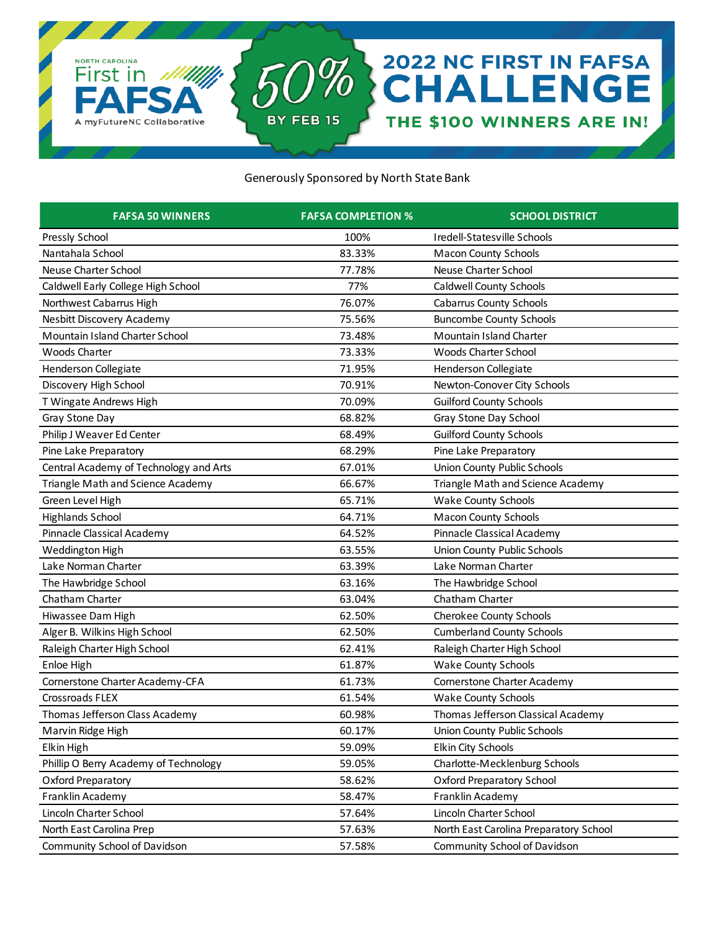

## Generously Sponsored by North State Bank

| <b>FAFSA 50 WINNERS</b>                | <b>FAFSA COMPLETION %</b> | <b>SCHOOL DISTRICT</b>                 |
|----------------------------------------|---------------------------|----------------------------------------|
| Pressly School                         | 100%                      | Iredell-Statesville Schools            |
| Nantahala School                       | 83.33%                    | <b>Macon County Schools</b>            |
| Neuse Charter School                   | 77.78%                    | Neuse Charter School                   |
| Caldwell Early College High School     | 77%                       | <b>Caldwell County Schools</b>         |
| Northwest Cabarrus High                | 76.07%                    | <b>Cabarrus County Schools</b>         |
| Nesbitt Discovery Academy              | 75.56%                    | <b>Buncombe County Schools</b>         |
| Mountain Island Charter School         | 73.48%                    | Mountain Island Charter                |
| <b>Woods Charter</b>                   | 73.33%                    | Woods Charter School                   |
| Henderson Collegiate                   | 71.95%                    | <b>Henderson Collegiate</b>            |
| Discovery High School                  | 70.91%                    | Newton-Conover City Schools            |
| T Wingate Andrews High                 | 70.09%                    | <b>Guilford County Schools</b>         |
| Gray Stone Day                         | 68.82%                    | Gray Stone Day School                  |
| Philip J Weaver Ed Center              | 68.49%                    | <b>Guilford County Schools</b>         |
| Pine Lake Preparatory                  | 68.29%                    | Pine Lake Preparatory                  |
| Central Academy of Technology and Arts | 67.01%                    | Union County Public Schools            |
| Triangle Math and Science Academy      | 66.67%                    | Triangle Math and Science Academy      |
| Green Level High                       | 65.71%                    | <b>Wake County Schools</b>             |
| <b>Highlands School</b>                | 64.71%                    | <b>Macon County Schools</b>            |
| Pinnacle Classical Academy             | 64.52%                    | Pinnacle Classical Academy             |
| Weddington High                        | 63.55%                    | Union County Public Schools            |
| Lake Norman Charter                    | 63.39%                    | Lake Norman Charter                    |
| The Hawbridge School                   | 63.16%                    | The Hawbridge School                   |
| Chatham Charter                        | 63.04%                    | Chatham Charter                        |
| Hiwassee Dam High                      | 62.50%                    | Cherokee County Schools                |
| Alger B. Wilkins High School           | 62.50%                    | <b>Cumberland County Schools</b>       |
| Raleigh Charter High School            | 62.41%                    | Raleigh Charter High School            |
| Enloe High                             | 61.87%                    | <b>Wake County Schools</b>             |
| Cornerstone Charter Academy-CFA        | 61.73%                    | Cornerstone Charter Academy            |
| Crossroads FLEX                        | 61.54%                    | <b>Wake County Schools</b>             |
| Thomas Jefferson Class Academy         | 60.98%                    | Thomas Jefferson Classical Academy     |
| Marvin Ridge High                      | 60.17%                    | Union County Public Schools            |
| Elkin High                             | 59.09%                    | Elkin City Schools                     |
| Phillip O Berry Academy of Technology  | 59.05%                    | Charlotte-Mecklenburg Schools          |
| Oxford Preparatory                     | 58.62%                    | <b>Oxford Preparatory School</b>       |
| Franklin Academy                       | 58.47%                    | Franklin Academy                       |
| Lincoln Charter School                 | 57.64%                    | Lincoln Charter School                 |
| North East Carolina Prep               | 57.63%                    | North East Carolina Preparatory School |
| Community School of Davidson           | 57.58%                    | Community School of Davidson           |